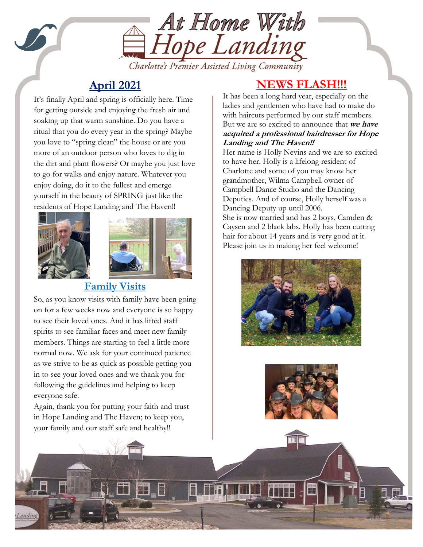

Charlotte's Premier Assisted Living Community

## **April 2021**

the dirt and plant howers. Or maybe you just to to go for walks and enjoy nature. Whatever you It's finally April and spring is officially here. Time for getting outside and enjoying the fresh air and soaking up that warm sunshine. Do you have a ritual that you do every year in the spring? Maybe you love to "spring clean" the house or are you more of an outdoor person who loves to dig in the dirt and plant flowers? Or maybe you just love enjoy doing, do it to the fullest and emerge yourself in the beauty of SPRING just like the residents of Hope Landing and The Haven!!



S



### **Family Visits**

So, as you know visits with family have been going on for a few weeks now and everyone is so happy to see their loved ones. And it has lifted staff spirits to see familiar faces and meet new family members. Things are starting to feel a little more normal now. We ask for your continued patience as we strive to be as quick as possible getting you in to see your loved ones and we thank you for following the guidelines and helping to keep everyone safe.

Again, thank you for putting your faith and trust in Hope Landing and The Haven; to keep you, your family and our staff safe and healthy!!

## **NEWS FLASH!!!**

It has been a long hard year, especially on the ladies and gentlemen who have had to make do with haircuts performed by our staff members. But we are so excited to announce that **we have acquired a professional hairdresser for Hope Landing and The Haven!!**

Her name is Holly Nevins and we are so excited to have her. Holly is a lifelong resident of Charlotte and some of you may know her grandmother, Wilma Campbell owner of Campbell Dance Studio and the Dancing Deputies. And of course, Holly herself was a Dancing Deputy up until 2006. She is now married and has 2 boys, Camden & Caysen and 2 black labs. Holly has been cutting hair for about 14 years and is very good at it.

Please join us in making her feel welcome!